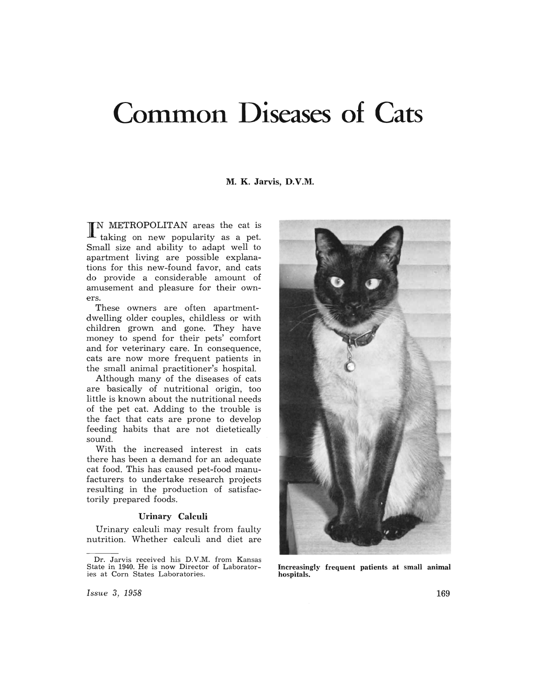# **Common Diseases of Cats**

### M. K. Jarvis, D.V.M.

IN METROPOLITAN areas the cat is **I** taking on new popularity as a pet. Small size and ability to adapt well to apartment living are possible explanations for this new-found favor, and cats do provide a considerable amount of amusement and pleasure for their owners.

These owners are often apartmentdwelling older couples, childless or with children grown and gone. They have money to spend for their pets' comfort and for veterinary care. In consequence, cats are now more frequent patients in the small animal practitioner's hospital.

Although many of the diseases of cats are basically of nutritional origin, too little is known about the nutritional needs of the pet cat. Adding to the trouble is the fact that cats are prone to develop feeding habits that are not dietetically sound.

With the increased interest in cats there has been a demand for an adequate cat food. This has caused pet-food manufacturers to undertake research projects resulting in the production of satisfactorily prepared foods.

#### Urinary Calculi

Urinary calculi may result from faulty nutrition. Whether calculi and diet are

Increasingly frequent patients at small animal hospitals.

*Issue* 3, 1958

169

Dr. Jarvis received his D.V.M. from Kansas<br>State in 1940. He is now Director of Laboratories at Corn States Laboratories.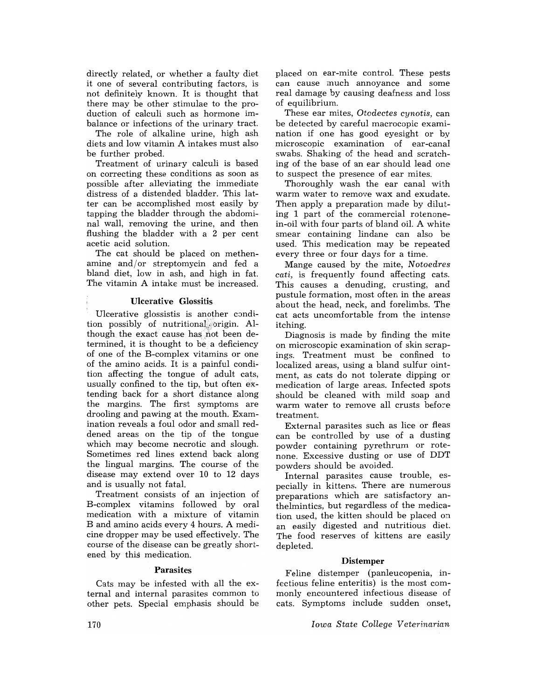directly related, or whether a faulty diet it one of several contributing factors, is not definitely known. It is thought that there may be other stimulae to the production of calculi such as hormone imbalance or infections of the urinary tract.

The role of alkaline urine, high ash diets and low vitamin A intakes must also be further probed.

Treatment of urinary calculi is based on correcting these conditions as soon as possible after alleviating the immediate distress of a distended bladder. This latter can be accomplished most easily by tapping the bladder through the abdominal wall, removing the urine, and then flushing the bladder with a 2 per cent acetic acid solution.

The cat should be placed on methenamine and/or streptomycin and fed a bland diet, low in ash, and high in fat. The vitamin A intake must be increased.

#### Ulcerative Glossitis

Ulcerative glossistis is another condition possibly of nutritional" origin. Although the exact cause has not been determined, it is thought to be a deficiency of one of the B-complex vitamins or one of the amino acids. It is a painful condition affecting the tongue of adult cats, usually confined to the tip, but often  $ex$ tending back for a short distance along the margins. The first symptoms are drooling and pawing at the mouth. Examination reveals a foul odor and small reddened areas on the tip of the tongue which may become necrotic and slough. Sometimes red lines extend back along the lingual margins. The course of the disease may extend over 10 to 12 days and is usually not fatal.

Treatment consists of an injection of B-complex vitamins followed by oral medication with a mixture of vitamin B and amino acids every 4 hours. A medicine dropper may be used effectively. The course of the disease can be greatly shortened by this medication.

#### Parasites

Cats may be infested with all the external and internal parasites common to other pets. Special emphasis should be placed on ear-mite control. These pests can cause much annoyance and some real damage by causing deafness and loss of equilibrium.

These ear mites, *Otodectes cynotis,* can be detected by careful macrocopic examination if one has good eyesight or by microscopic examination of ear-canal swabs. Shaking of the head and scratching of the base of an ear should lead one to suspect the presence of ear mites.

Thoroughly wash the ear canal with warm water to remove wax and exudate. Then apply a preparation made by diluting 1 part of the commercial rotenonein-oil with four parts of bland oil. A white smear containing lindane can also be used. This medication may be repeated every three or four days for a time.

Mange caused by the mite, *Notoedres cati,* is frequently found affecting cats. This causes a denuding, crusting, and pustule formation, most often in the areas about the head, neck, and forelimbs. The cat acts uncomfortable from the intense itching.

Diagnosis is made by finding the mite on microscopic examination of skin scrapings. Treatment must be confined to localized areas, using a bland sulfur ointment, as cats do not tolerate dipping or medication of large areas. Infected spots should be cleaned with mild soap and warm water to remove all crusts before treatment.

External parasites such as lice or fleas can be controlled by use of a dusting powder containing pyrethrum or rotenone. Excessive dusting or use of DDT powders should be avoided.

Internal parasites cause trouble, especially in kittens. There are numerous preparations which are satisfactory anthelmintics, but regardless of the medication used, the kitten should be placed on an easily digested and nutritious diet. The food reserves of kittens are easily depleted.

## Distemper

Feline distemper (panleucopenia, infectious feline enteritis) is the most commonly encountered infectious disease of cats. Symptoms include sudden onset,

*Iowa State College Veterinarian*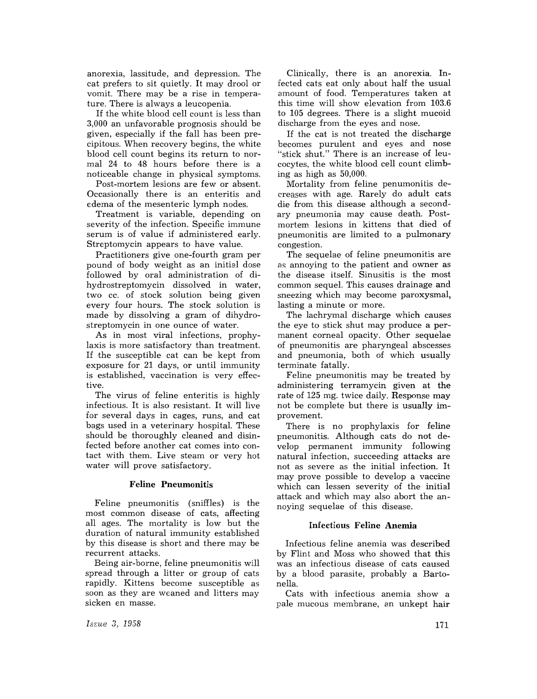anorexia, lassitude, and depression. The cat prefers to sit quietly. It may drool or vomit. There may be a rise in temperature. There is always a leucopenia.

If the white blood cell count is less than 3,000 an unfavorable prognosis should be given, especially if the fall has been precipitous. When recovery begins, the white blood cell count begins its return to normal 24 to 48 hours before there is a noticeable change in physical symptoms.

Post-mortem lesions are few or absent. Occasionally there is an enteritis and Edema of the mesenteric lymph nodes.

Treatment is variable, depending on severity of the infection. Specific immune serum is of value if administered early. Streptomycin appears to have value.

Practitioners give one-fourth gram per pound of body weight as an initial dose followed by oral administration of dihydrostreptomycin dissolved in water, two cc. of stock solution being given every four hours. The stock solution is made by dissolving a gram of dihydrostreptomycin in one ounce of water.

As in most viral infections, prophylaxis is more satisfactory than treatment. If the susceptible cat can be kept from exposure for 21 days, or until immunity is established, vaccination is very effective.

The virus of feline enteritis is highly infectious. It is also resistant. It will live for several days in cages, runs, and cat bags used in a veterinary hospital. These should be thoroughly cleaned and disinfected before another cat comes into contact with them. Live steam or very hot water will prove satisfactory.

## Feline Pneumonitis

Feline pneumonitis (sniffles) is the most common disease of cats, affecting all ages. The mortality is low but the duration of natural immunity established by this disease is short and there may be recurrent attacks.

Being air-borne, feline pneumonitis will spread through a litter or group of cats rapidly. Kittens become susceptible as soon as they are weaned and litters may sicken en masse.

Clinically, there is an anorexia. Infected cats eat only about half the usual amount of food. Temperatures taken at this time will show elevation from 103.6 to 105 degrees. There is a slight mucoid discharge from the eyes and nose.

If the cat is not treated the discharge becomes purulent and eyes and nose "stick shut." There is an increase of leucocytes, the white blood cell count climbing as high as 50,000.

Mortality from feline penumonitis decreases with age. Rarely do adult cats die from this disease although a secondary pneumonia may cause death. Postmortem lesions in kittens that died of pneumonitis are limited to a pulmonary congestion.

The sequelae of feline pneumonitis are as annoying to the patient and owner as the disease itself. Sinusitis is the most common sequel. This causes drainage and sneezing which may become paroxysmal, lasting a minute or more.

The lachrymal discharge which causes the eye to stick shut may produce a permanent corneal opacity. Other sequelae of pneumonitis are pharyngeal abscesses and pneumonia, both of which usually terminate fatally.

Feline pneumonitis may be treated by administering terramycin given at the rate of 125 mg. twice daily. Response may not be complete but there is usually improvement.

There is no prophylaxis for feline pneumonitis. Although cats do not develop permanent immunity following natural infection, succeeding attacks are not as severe as the initial infection. It may prove possible to develop a vaccine which can lessen severity of the initial attack and which may also abort the annoying sequelae of this disease.

## Infectious Fellne Anemia

Infectious feline anemia was described by Flint and Moss who showed that this was an infectious disease of cats caused by a blood parasite, probably a Bartonella.

Cats with infectious anemia show a pale mucous membrane, an unkept hair

Issue 3, 1958